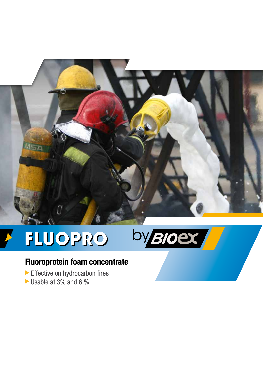

# FLUOPRO



# **Fluoroprotein foam concentrate**

- Effective on hydrocarbon fires
- Usable at 3% and 6 %